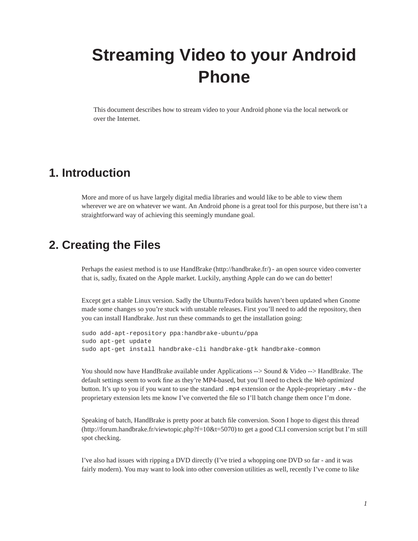# **Streaming Video to your Android Phone**

This document describes how to stream video to your Android phone via the local network or over the Internet.

## **1. Introduction**

More and more of us have largely digital media libraries and would like to be able to view them wherever we are on whatever we want. An Android phone is a great tool for this purpose, but there isn't a straightforward way of achieving this seemingly mundane goal.

## **2. Creating the Files**

Perhaps the easiest method is to use HandBrake (http://handbrake.fr/) - an open source video converter that is, sadly, fixated on the Apple market. Luckily, anything Apple can do we can do better!

Except get a stable Linux version. Sadly the Ubuntu/Fedora builds haven't been updated when Gnome made some changes so you're stuck with unstable releases. First you'll need to add the repository, then you can install Handbrake. Just run these commands to get the installation going:

```
sudo add-apt-repository ppa:handbrake-ubuntu/ppa
sudo apt-get update
sudo apt-get install handbrake-cli handbrake-gtk handbrake-common
```
You should now have HandBrake available under Applications --> Sound & Video --> HandBrake. The default settings seem to work fine as they're MP4-based, but you'll need to check the *Web optimized* button. It's up to you if you want to use the standard .mp4 extension or the Apple-proprietary .m4v - the proprietary extension lets me know I've converted the file so I'll batch change them once I'm done.

Speaking of batch, HandBrake is pretty poor at batch file conversion. Soon I hope to digest this thread (http://forum.handbrake.fr/viewtopic.php?f=10&t=5070) to get a good CLI conversion script but I'm still spot checking.

I've also had issues with ripping a DVD directly (I've tried a whopping one DVD so far - and it was fairly modern). You may want to look into other conversion utilities as well, recently I've come to like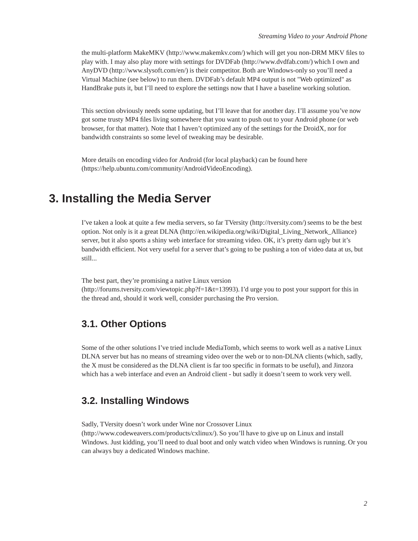the multi-platform MakeMKV (http://www.makemkv.com/) which will get you non-DRM MKV files to play with. I may also play more with settings for DVDFab (http://www.dvdfab.com/) which I own and AnyDVD (http://www.slysoft.com/en/) is their competitor. Both are Windows-only so you'll need a Virtual Machine (see below) to run them. DVDFab's default MP4 output is not "Web optimized" as HandBrake puts it, but I'll need to explore the settings now that I have a baseline working solution.

This section obviously needs some updating, but I'll leave that for another day. I'll assume you've now got some trusty MP4 files living somewhere that you want to push out to your Android phone (or web browser, for that matter). Note that I haven't optimized any of the settings for the DroidX, nor for bandwidth constraints so some level of tweaking may be desirable.

More details on encoding video for Android (for local playback) can be found here (https://help.ubuntu.com/community/AndroidVideoEncoding).

### **3. Installing the Media Server**

I've taken a look at quite a few media servers, so far TVersity (http://tversity.com/) seems to be the best option. Not only is it a great DLNA (http://en.wikipedia.org/wiki/Digital\_Living\_Network\_Alliance) server, but it also sports a shiny web interface for streaming video. OK, it's pretty darn ugly but it's bandwidth efficient. Not very useful for a server that's going to be pushing a ton of video data at us, but still...

The best part, they're promising a native Linux version

(http://forums.tversity.com/viewtopic.php?f=1&t=13993). I'd urge you to post your support for this in the thread and, should it work well, consider purchasing the Pro version.

#### **3.1. Other Options**

Some of the other solutions I've tried include MediaTomb, which seems to work well as a native Linux DLNA server but has no means of streaming video over the web or to non-DLNA clients (which, sadly, the X must be considered as the DLNA client is far too specific in formats to be useful), and Jinzora which has a web interface and even an Android client - but sadly it doesn't seem to work very well.

#### **3.2. Installing Windows**

Sadly, TVersity doesn't work under Wine nor Crossover Linux

(http://www.codeweavers.com/products/cxlinux/). So you'll have to give up on Linux and install Windows. Just kidding, you'll need to dual boot and only watch video when Windows is running. Or you can always buy a dedicated Windows machine.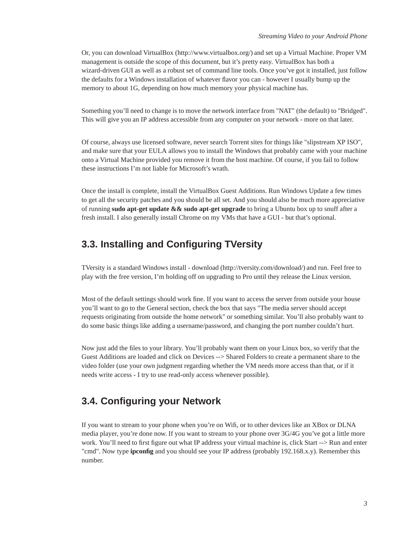Or, you can download VirtualBox (http://www.virtualbox.org/) and set up a Virtual Machine. Proper VM management is outside the scope of this document, but it's pretty easy. VirtualBox has both a wizard-driven GUI as well as a robust set of command line tools. Once you've got it installed, just follow the defaults for a Windows installation of whatever flavor you can - however I usually bump up the memory to about 1G, depending on how much memory your physical machine has.

Something you'll need to change is to move the network interface from "NAT" (the default) to "Bridged". This will give you an IP address accessible from any computer on your network - more on that later.

Of course, always use licensed software, never search Torrent sites for things like "slipstream XP ISO", and make sure that your EULA allows you to install the Windows that probably came with your machine onto a Virtual Machine provided you remove it from the host machine. Of course, if you fail to follow these instructions I'm not liable for Microsoft's wrath.

Once the install is complete, install the VirtualBox Guest Additions. Run Windows Update a few times to get all the security patches and you should be all set. And you should also be much more appreciative of running **sudo apt-get update && sudo apt-get upgrade** to bring a Ubuntu box up to snuff after a fresh install. I also generally install Chrome on my VMs that have a GUI - but that's optional.

#### **3.3. Installing and Configuring TVersity**

TVersity is a standard Windows install - download (http://tversity.com/download/) and run. Feel free to play with the free version, I'm holding off on upgrading to Pro until they release the Linux version.

Most of the default settings should work fine. If you want to access the server from outside your house you'll want to go to the General section, check the box that says "The media server should accept requests originating from outside the home network" or something similar. You'll also probably want to do some basic things like adding a username/password, and changing the port number couldn't hurt.

Now just add the files to your library. You'll probably want them on your Linux box, so verify that the Guest Additions are loaded and click on Devices --> Shared Folders to create a permanent share to the video folder (use your own judgment regarding whether the VM needs more access than that, or if it needs write access - I try to use read-only access whenever possible).

#### **3.4. Configuring your Network**

If you want to stream to your phone when you're on Wifi, or to other devices like an XBox or DLNA media player, you're done now. If you want to stream to your phone over 3G/4G you've got a little more work. You'll need to first figure out what IP address your virtual machine is, click Start --> Run and enter "cmd". Now type **ipconfig** and you should see your IP address (probably 192.168.x.y). Remember this number.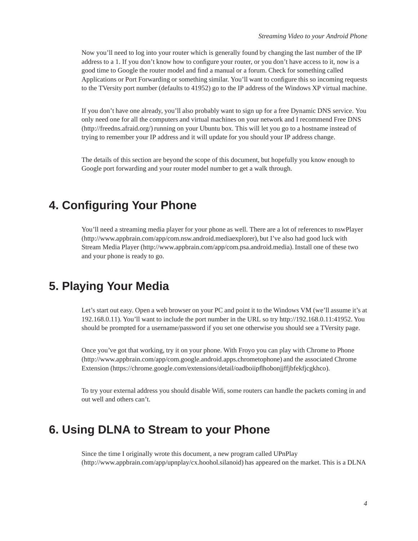Now you'll need to log into your router which is generally found by changing the last number of the IP address to a 1. If you don't know how to configure your router, or you don't have access to it, now is a good time to Google the router model and find a manual or a forum. Check for something called Applications or Port Forwarding or something similar. You'll want to configure this so incoming requests to the TVersity port number (defaults to 41952) go to the IP address of the Windows XP virtual machine.

If you don't have one already, you'll also probably want to sign up for a free Dynamic DNS service. You only need one for all the computers and virtual machines on your network and I recommend Free DNS (http://freedns.afraid.org/) running on your Ubuntu box. This will let you go to a hostname instead of trying to remember your IP address and it will update for you should your IP address change.

The details of this section are beyond the scope of this document, but hopefully you know enough to Google port forwarding and your router model number to get a walk through.

## **4. Configuring Your Phone**

You'll need a streaming media player for your phone as well. There are a lot of references to nswPlayer (http://www.appbrain.com/app/com.nsw.android.mediaexplorer), but I've also had good luck with Stream Media Player (http://www.appbrain.com/app/com.psa.android.media). Install one of these two and your phone is ready to go.

## **5. Playing Your Media**

Let's start out easy. Open a web browser on your PC and point it to the Windows VM (we'll assume it's at 192.168.0.11). You'll want to include the port number in the URL so try http://192.168.0.11:41952. You should be prompted for a username/password if you set one otherwise you should see a TVersity page.

Once you've got that working, try it on your phone. With Froyo you can play with Chrome to Phone (http://www.appbrain.com/app/com.google.android.apps.chrometophone) and the associated Chrome Extension (https://chrome.google.com/extensions/detail/oadboiipflhobonjjffjbfekfjcgkhco).

To try your external address you should disable Wifi, some routers can handle the packets coming in and out well and others can't.

## **6. Using DLNA to Stream to your Phone**

Since the time I originally wrote this document, a new program called UPnPlay (http://www.appbrain.com/app/upnplay/cx.hoohol.silanoid) has appeared on the market. This is a DLNA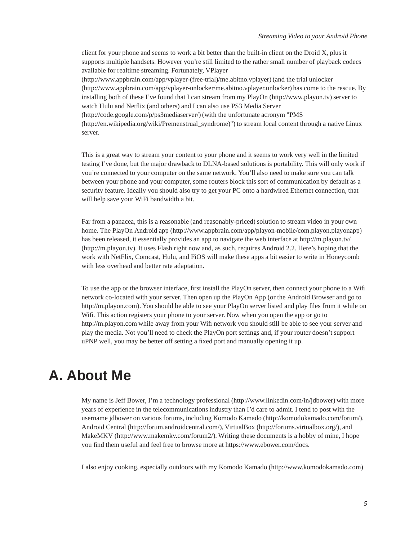client for your phone and seems to work a bit better than the built-in client on the Droid X, plus it supports multiple handsets. However you're still limited to the rather small number of playback codecs available for realtime streaming. Fortunately, VPlayer

(http://www.appbrain.com/app/vplayer-(free-trial)/me.abitno.vplayer) (and the trial unlocker (http://www.appbrain.com/app/vplayer-unlocker/me.abitno.vplayer.unlocker) has come to the rescue. By installing both of these I've found that I can stream from my PlayOn (http://www.playon.tv) server to watch Hulu and Netflix (and others) and I can also use PS3 Media Server

(http://code.google.com/p/ps3mediaserver/) (with the unfortunate acronym "PMS (http://en.wikipedia.org/wiki/Premenstrual\_syndrome)") to stream local content through a native Linux server.

This is a great way to stream your content to your phone and it seems to work very well in the limited testing I've done, but the major drawback to DLNA-based solutions is portability. This will only work if you're connected to your computer on the same network. You'll also need to make sure you can talk between your phone and your computer, some routers block this sort of communication by default as a security feature. Ideally you should also try to get your PC onto a hardwired Ethernet connection, that will help save your WiFi bandwidth a bit.

Far from a panacea, this is a reasonable (and reasonably-priced) solution to stream video in your own home. The PlayOn Android app (http://www.appbrain.com/app/playon-mobile/com.playon.playonapp) has been released, it essentially provides an app to navigate the web interface at http://m.playon.tv/ (http://m.playon.tv). It uses Flash right now and, as such, requires Android 2.2. Here's hoping that the work with NetFlix, Comcast, Hulu, and FiOS will make these apps a bit easier to write in Honeycomb with less overhead and better rate adaptation.

To use the app or the browser interface, first install the PlayOn server, then connect your phone to a Wifi network co-located with your server. Then open up the PlayOn App (or the Android Browser and go to http://m.playon.com). You should be able to see your PlayOn server listed and play files from it while on Wifi. This action registers your phone to your server. Now when you open the app or go to http://m.playon.com while away from your Wifi network you should still be able to see your server and play the media. Not you'll need to check the PlayOn port settings and, if your router doesn't support uPNP well, you may be better off setting a fixed port and manually opening it up.

## **A. About Me**

My name is Jeff Bower, I'm a technology professional (http://www.linkedin.com/in/jdbower) with more years of experience in the telecommunications industry than I'd care to admit. I tend to post with the username jdbower on various forums, including Komodo Kamado (http://komodokamado.com/forum/), Android Central (http://forum.androidcentral.com/), VirtualBox (http://forums.virtualbox.org/), and MakeMKV (http://www.makemkv.com/forum2/). Writing these documents is a hobby of mine, I hope you find them useful and feel free to browse more at https://www.ebower.com/docs.

I also enjoy cooking, especially outdoors with my Komodo Kamado (http://www.komodokamado.com)